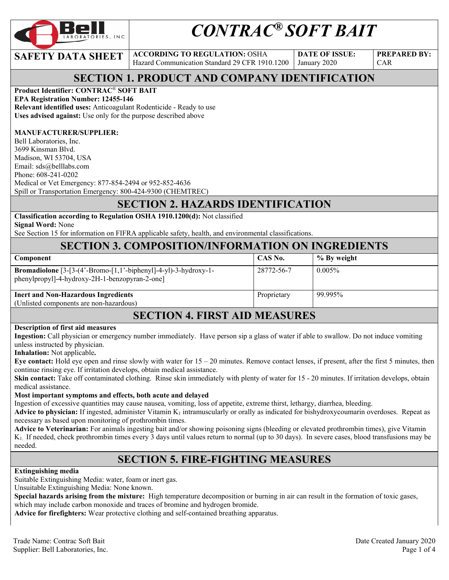

# *CONTRAC® SOFT BAIT*

**SAFETY DATA SHEET ACCORDING TO REGULATION: OSHA** Hazard Communication Standard 29 CFR 1910.1200 **DATE OF ISSUE:**  January 2020

**PREPARED BY:**  CAR

# **SECTION 1. PRODUCT AND COMPANY IDENTIFICATION**

### **Product Identifier: CONTRAC**® **SOFT BAIT**

**EPA Registration Number: 12455-146 Relevant identified uses:** Anticoagulant Rodenticide - Ready to use **Uses advised against:** Use only for the purpose described above

#### **MANUFACTURER/SUPPLIER:**

Bell Laboratories, Inc. 3699 Kinsman Blvd. Madison, WI 53704, USA Email: sds@belllabs.com Phone: 608-241-0202 Medical or Vet Emergency: 877-854-2494 or 952-852-4636 Spill or Transportation Emergency: 800-424-9300 (CHEMTREC)

# **SECTION 2. HAZARDS IDENTIFICATION**

**Classification according to Regulation OSHA 1910.1200(d):** Not classified **Signal Word:** None

See Section 15 for information on FIFRA applicable safety, health, and environmental classifications.

### **SECTION 3. COMPOSITION/INFORMATION ON INGREDIENTS**

| <b>Component</b>                                                                                                           | CAS No.     | % By weight |
|----------------------------------------------------------------------------------------------------------------------------|-------------|-------------|
| <b>Bromadiolone</b> $[3-[3-(4'-Bromo-[1,1'-bipheny1]-4-y])-3-hydroxy-1-$<br>phenylpropyl]-4-hydroxy-2H-1-benzopyran-2-one] | 28772-56-7  | $0.005\%$   |
| <b>Inert and Non-Hazardous Ingredients</b><br>(Unlisted components are non-hazardous)                                      | Proprietary | 99.995%     |

### **SECTION 4. FIRST AID MEASURES**

#### **Description of first aid measures**

**Ingestion:** Call physician or emergency number immediately. Have person sip a glass of water if able to swallow. Do not induce vomiting unless instructed by physician.

**Inhalation:** Not applicable**.** 

**Eye contact:** Hold eye open and rinse slowly with water for 15 – 20 minutes. Remove contact lenses, if present, after the first 5 minutes, then continue rinsing eye. If irritation develops, obtain medical assistance.

**Skin contact:** Take off contaminated clothing. Rinse skin immediately with plenty of water for 15 - 20 minutes. If irritation develops, obtain medical assistance.

#### **Most important symptoms and effects, both acute and delayed**

Ingestion of excessive quantities may cause nausea, vomiting, loss of appetite, extreme thirst, lethargy, diarrhea, bleeding.

**Advice to physician:** If ingested, administer Vitamin  $K_1$  intramuscularly or orally as indicated for bishydroxycoumarin overdoses. Repeat as necessary as based upon monitoring of prothrombin times.

**Advice to Veterinarian:** For animals ingesting bait and/or showing poisoning signs (bleeding or elevated prothrombin times), give Vitamin K1. If needed, check prothrombin times every 3 days until values return to normal (up to 30 days). In severe cases, blood transfusions may be needed.

### **SECTION 5. FIRE-FIGHTING MEASURES**

#### **Extinguishing media**

Suitable Extinguishing Media: water, foam or inert gas.

Unsuitable Extinguishing Media: None known.

**Special hazards arising from the mixture:** High temperature decomposition or burning in air can result in the formation of toxic gases, which may include carbon monoxide and traces of bromine and hydrogen bromide.

**Advice for firefighters:** Wear protective clothing and self-contained breathing apparatus.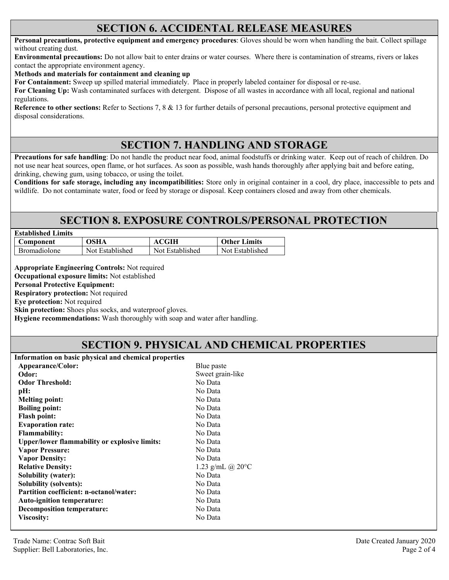### **SECTION 6. ACCIDENTAL RELEASE MEASURES**

**Personal precautions, protective equipment and emergency procedures**: Gloves should be worn when handling the bait. Collect spillage without creating dust.

**Environmental precautions:** Do not allow bait to enter drains or water courses. Where there is contamination of streams, rivers or lakes contact the appropriate environment agency.

**Methods and materials for containment and cleaning up**

**For Containment:** Sweep up spilled material immediately. Place in properly labeled container for disposal or re-use.

**For Cleaning Up:** Wash contaminated surfaces with detergent. Dispose of all wastes in accordance with all local, regional and national regulations.

**Reference to other sections:** Refer to Sections 7, 8 & 13 for further details of personal precautions, personal protective equipment and disposal considerations.

# **SECTION 7. HANDLING AND STORAGE**

**Precautions for safe handling**: Do not handle the product near food, animal foodstuffs or drinking water. Keep out of reach of children. Do not use near heat sources, open flame, or hot surfaces. As soon as possible, wash hands thoroughly after applying bait and before eating, drinking, chewing gum, using tobacco, or using the toilet.

**Conditions for safe storage, including any incompatibilities:** Store only in original container in a cool, dry place, inaccessible to pets and wildlife. Do not contaminate water, food or feed by storage or disposal. Keep containers closed and away from other chemicals.

## **SECTION 8. EXPOSURE CONTROLS/PERSONAL PROTECTION**

| <b>Established Limits</b> |                 |                 |                     |
|---------------------------|-----------------|-----------------|---------------------|
| Component                 | OSHA            | ACGIH           | <b>Other Limits</b> |
| <b>Bromadiolone</b>       | Not Established | Not Established | Not Established     |

**Appropriate Engineering Controls:** Not required

**Occupational exposure limits:** Not established

**Personal Protective Equipment:** 

**Respiratory protection:** Not required

**Eye protection:** Not required

**Skin protection:** Shoes plus socks, and waterproof gloves.

**Hygiene recommendations:** Wash thoroughly with soap and water after handling.

### **SECTION 9. PHYSICAL AND CHEMICAL PROPERTIES**

| Information on basic physical and chemical properties |                            |
|-------------------------------------------------------|----------------------------|
| Appearance/Color:                                     | Blue paste                 |
| Odor:                                                 | Sweet grain-like           |
| <b>Odor Threshold:</b>                                | No Data                    |
| pH:                                                   | No Data                    |
| <b>Melting point:</b>                                 | No Data                    |
| <b>Boiling point:</b>                                 | No Data                    |
| <b>Flash point:</b>                                   | No Data                    |
| <b>Evaporation rate:</b>                              | No Data                    |
| <b>Flammability:</b>                                  | No Data                    |
| <b>Upper/lower flammability or explosive limits:</b>  | No Data                    |
| <b>Vapor Pressure:</b>                                | No Data                    |
| <b>Vapor Density:</b>                                 | No Data                    |
| <b>Relative Density:</b>                              | 1.23 g/mL @ $20^{\circ}$ C |
| <b>Solubility (water):</b>                            | No Data                    |
| <b>Solubility (solvents):</b>                         | No Data                    |
| Partition coefficient: n-octanol/water:               | No Data                    |
| <b>Auto-ignition temperature:</b>                     | No Data                    |
| <b>Decomposition temperature:</b>                     | No Data                    |
| Viscosity:                                            | No Data                    |
|                                                       |                            |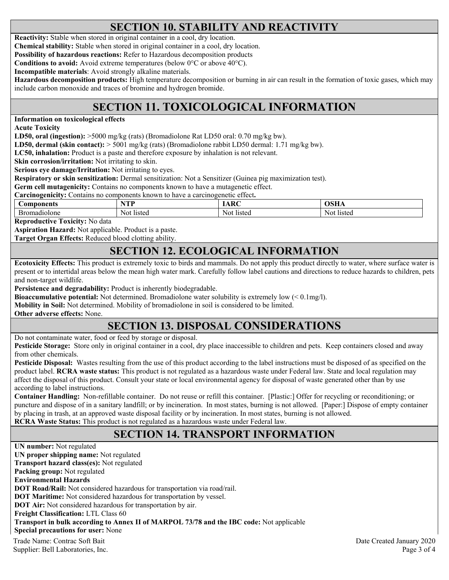# **SECTION 10. STABILITY AND REACTIVITY**

**Reactivity:** Stable when stored in original container in a cool, dry location.

**Chemical stability:** Stable when stored in original container in a cool, dry location.

**Possibility of hazardous reactions:** Refer to Hazardous decomposition products

**Conditions to avoid:** Avoid extreme temperatures (below 0°C or above 40°C).

**Incompatible materials**: Avoid strongly alkaline materials.

**Hazardous decomposition products:** High temperature decomposition or burning in air can result in the formation of toxic gases, which may include carbon monoxide and traces of bromine and hydrogen bromide.

# **SECTION 11. TOXICOLOGICAL INFORMATION**

**Information on toxicological effects** 

**Acute Toxicity** 

**LD50, oral (ingestion):** >5000 mg/kg (rats) (Bromadiolone Rat LD50 oral: 0.70 mg/kg bw).

**LD50, dermal (skin contact):** > 5001 mg/kg (rats) (Bromadiolone rabbit LD50 dermal: 1.71 mg/kg bw).

**LC50, inhalation:** Product is a paste and therefore exposure by inhalation is not relevant.

**Skin corrosion/irritation:** Not irritating to skin.

**Serious eye damage/Irritation:** Not irritating to eyes.

**Respiratory or skin sensitization:** Dermal sensitization: Not a Sensitizer (Guinea pig maximization test).

**Germ cell mutagenicity:** Contains no components known to have a mutagenetic effect.

**Carcinogenicity:** Contains no components known to have a carcinogenetic effect**.** 

| Components                 | <b>TENT</b>   | $\mathbf{D}$  | $\sim$          |
|----------------------------|---------------|---------------|-----------------|
| 110Ione<br>on<br>าลเ<br>Бr | listed<br>Not | listed<br>Noi | -listec<br>Not. |

**Reproductive Toxicity:** No data

**Aspiration Hazard:** Not applicable. Product is a paste.

**Target Organ Effects:** Reduced blood clotting ability.

### **SECTION 12. ECOLOGICAL INFORMATION**

**Ecotoxicity Effects:** This product is extremely toxic to birds and mammals. Do not apply this product directly to water, where surface water is present or to intertidal areas below the mean high water mark. Carefully follow label cautions and directions to reduce hazards to children, pets and non-target wildlife.

**Persistence and degradability:** Product is inherently biodegradable.

**Bioaccumulative potential:** Not determined. Bromadiolone water solubility is extremely low (< 0.1mg/l).

**Mobility in Soil:** Not determined. Mobility of bromadiolone in soil is considered to be limited.

**Other adverse effects:** None.

# **SECTION 13. DISPOSAL CONSIDERATIONS**

Do not contaminate water, food or feed by storage or disposal.

**Pesticide Storage:** Store only in original container in a cool, dry place inaccessible to children and pets. Keep containers closed and away from other chemicals.

**Pesticide Disposal:** Wastes resulting from the use of this product according to the label instructions must be disposed of as specified on the product label. **RCRA waste status:** This product is not regulated as a hazardous waste under Federal law. State and local regulation may affect the disposal of this product. Consult your state or local environmental agency for disposal of waste generated other than by use according to label instructions.

**Container Handling:** Non-refillable container. Do not reuse or refill this container. [Plastic:] Offer for recycling or reconditioning; or puncture and dispose of in a sanitary landfill; or by incineration. In most states, burning is not allowed. [Paper:] Dispose of empty container by placing in trash, at an approved waste disposal facility or by incineration. In most states, burning is not allowed. **RCRA Waste Status:** This product is not regulated as a hazardous waste under Federal law.

# **SECTION 14. TRANSPORT INFORMATION**

Trade Name: Contrac Soft Bait Date Created January 2020 Supplier: Bell Laboratories, Inc. 2008 and 2008 and 2008 and 2008 and 2008 and 2008 and 2008 and 2008 and 2008 and 2008 and 2008 and 2008 and 2008 and 2008 and 2008 and 2008 and 2008 and 2008 and 2008 and 2008 and 2008 and **UN number:** Not regulated **UN proper shipping name:** Not regulated **Transport hazard class(es):** Not regulated **Packing group:** Not regulated **Environmental Hazards DOT Road/Rail:** Not considered hazardous for transportation via road/rail. **DOT Maritime:** Not considered hazardous for transportation by vessel. **DOT Air:** Not considered hazardous for transportation by air. **Freight Classification:** LTL Class 60 **Transport in bulk according to Annex II of MARPOL 73/78 and the IBC code:** Not applicable **Special precautions for user:** None